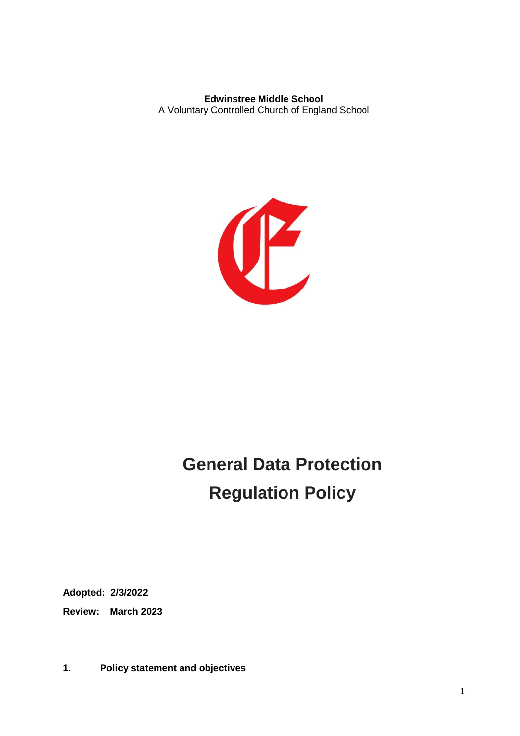**Edwinstree Middle School** A Voluntary Controlled Church of England School



# **General Data Protection Regulation Policy**

**Adopted: 2/3/2022**

**Review: March 2023**

**1. Policy statement and objectives**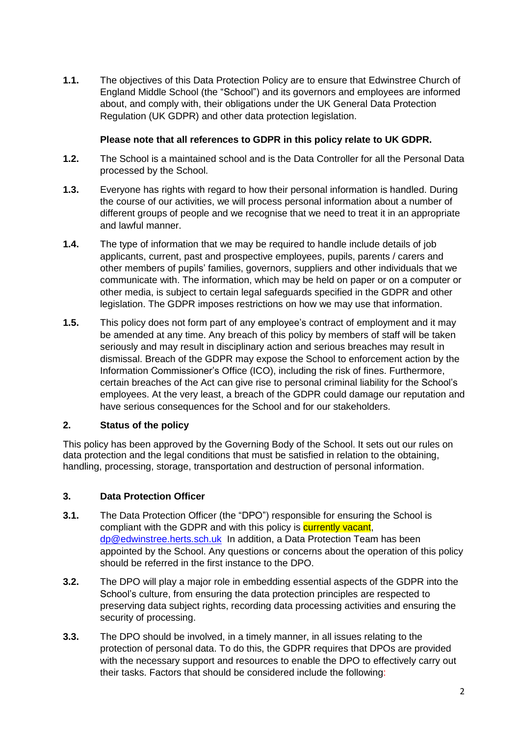**1.1.** The objectives of this Data Protection Policy are to ensure that Edwinstree Church of England Middle School (the "School") and its governors and employees are informed about, and comply with, their obligations under the UK General Data Protection Regulation (UK GDPR) and other data protection legislation.

## **Please note that all references to GDPR in this policy relate to UK GDPR.**

- **1.2.** The School is a maintained school and is the Data Controller for all the Personal Data processed by the School.
- **1.3.** Everyone has rights with regard to how their personal information is handled. During the course of our activities, we will process personal information about a number of different groups of people and we recognise that we need to treat it in an appropriate and lawful manner.
- **1.4.** The type of information that we may be required to handle include details of job applicants, current, past and prospective employees, pupils, parents / carers and other members of pupils' families, governors, suppliers and other individuals that we communicate with. The information, which may be held on paper or on a computer or other media, is subject to certain legal safeguards specified in the GDPR and other legislation. The GDPR imposes restrictions on how we may use that information.
- **1.5.** This policy does not form part of any employee's contract of employment and it may be amended at any time. Any breach of this policy by members of staff will be taken seriously and may result in disciplinary action and serious breaches may result in dismissal. Breach of the GDPR may expose the School to enforcement action by the Information Commissioner's Office (ICO), including the risk of fines. Furthermore, certain breaches of the Act can give rise to personal criminal liability for the School's employees. At the very least, a breach of the GDPR could damage our reputation and have serious consequences for the School and for our stakeholders.

# **2. Status of the policy**

This policy has been approved by the Governing Body of the School. It sets out our rules on data protection and the legal conditions that must be satisfied in relation to the obtaining, handling, processing, storage, transportation and destruction of personal information.

# **3. Data Protection Officer**

- **3.1.** The Data Protection Officer (the "DPO") responsible for ensuring the School is compliant with the GDPR and with this policy is **currently vacant**, [dp@edwinstree.herts.sch.uk](mailto:dp@edwinstree.herts.sch.uk) In addition, a Data Protection Team has been appointed by the School. Any questions or concerns about the operation of this policy should be referred in the first instance to the DPO.
- **3.2.** The DPO will play a major role in embedding essential aspects of the GDPR into the School's culture, from ensuring the data protection principles are respected to preserving data subject rights, recording data processing activities and ensuring the security of processing.
- **3.3.** The DPO should be involved, in a timely manner, in all issues relating to the protection of personal data. To do this, the GDPR requires that DPOs are provided with the necessary support and resources to enable the DPO to effectively carry out their tasks. Factors that should be considered include the following: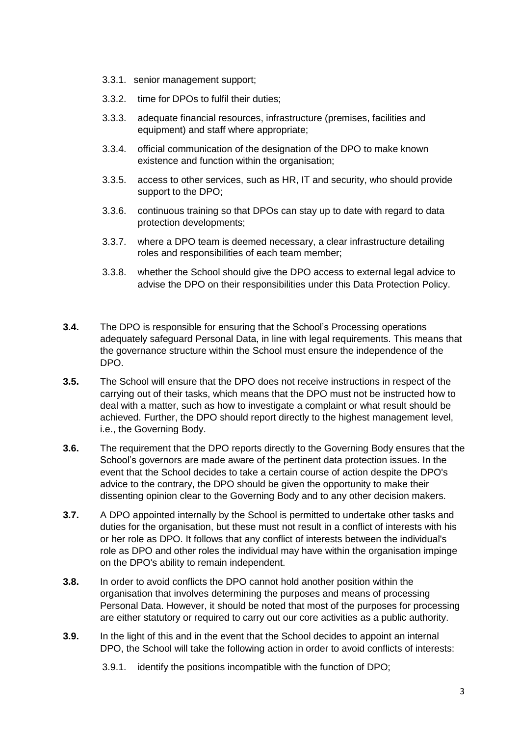- 3.3.1. senior management support;
- 3.3.2. time for DPOs to fulfil their duties;
- 3.3.3. adequate financial resources, infrastructure (premises, facilities and equipment) and staff where appropriate;
- 3.3.4. official communication of the designation of the DPO to make known existence and function within the organisation;
- 3.3.5. access to other services, such as HR, IT and security, who should provide support to the DPO;
- 3.3.6. continuous training so that DPOs can stay up to date with regard to data protection developments;
- 3.3.7. where a DPO team is deemed necessary, a clear infrastructure detailing roles and responsibilities of each team member;
- 3.3.8. whether the School should give the DPO access to external legal advice to advise the DPO on their responsibilities under this Data Protection Policy.
- **3.4.** The DPO is responsible for ensuring that the School's Processing operations adequately safeguard Personal Data, in line with legal requirements. This means that the governance structure within the School must ensure the independence of the DPO.
- **3.5.** The School will ensure that the DPO does not receive instructions in respect of the carrying out of their tasks, which means that the DPO must not be instructed how to deal with a matter, such as how to investigate a complaint or what result should be achieved. Further, the DPO should report directly to the highest management level, i.e., the Governing Body.
- **3.6.** The requirement that the DPO reports directly to the Governing Body ensures that the School's governors are made aware of the pertinent data protection issues. In the event that the School decides to take a certain course of action despite the DPO's advice to the contrary, the DPO should be given the opportunity to make their dissenting opinion clear to the Governing Body and to any other decision makers.
- **3.7.** A DPO appointed internally by the School is permitted to undertake other tasks and duties for the organisation, but these must not result in a conflict of interests with his or her role as DPO. It follows that any conflict of interests between the individual's role as DPO and other roles the individual may have within the organisation impinge on the DPO's ability to remain independent.
- **3.8.** In order to avoid conflicts the DPO cannot hold another position within the organisation that involves determining the purposes and means of processing Personal Data. However, it should be noted that most of the purposes for processing are either statutory or required to carry out our core activities as a public authority.
- **3.9.** In the light of this and in the event that the School decides to appoint an internal DPO, the School will take the following action in order to avoid conflicts of interests:
	- 3.9.1. identify the positions incompatible with the function of DPO;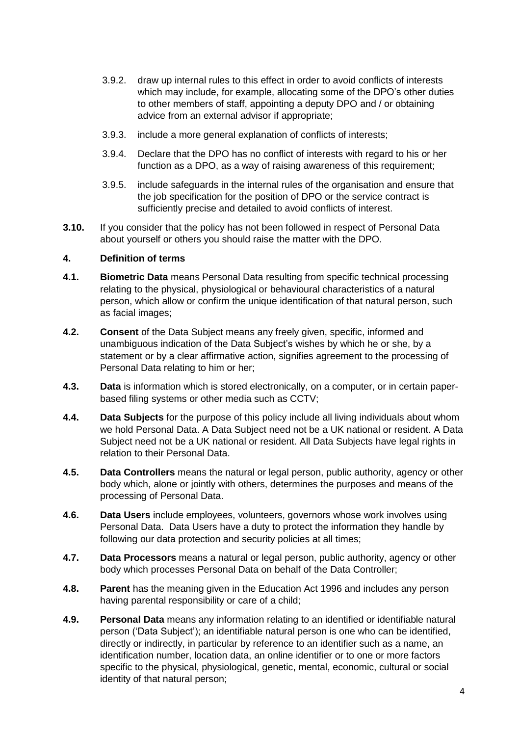- 3.9.2. draw up internal rules to this effect in order to avoid conflicts of interests which may include, for example, allocating some of the DPO's other duties to other members of staff, appointing a deputy DPO and / or obtaining advice from an external advisor if appropriate;
- 3.9.3. include a more general explanation of conflicts of interests;
- 3.9.4. Declare that the DPO has no conflict of interests with regard to his or her function as a DPO, as a way of raising awareness of this requirement;
- 3.9.5. include safeguards in the internal rules of the organisation and ensure that the job specification for the position of DPO or the service contract is sufficiently precise and detailed to avoid conflicts of interest.
- **3.10.** If you consider that the policy has not been followed in respect of Personal Data about yourself or others you should raise the matter with the DPO.

## **4. Definition of terms**

- **4.1. Biometric Data** means Personal Data resulting from specific technical processing relating to the physical, physiological or behavioural characteristics of a natural person, which allow or confirm the unique identification of that natural person, such as facial images;
- **4.2. Consent** of the Data Subject means any freely given, specific, informed and unambiguous indication of the Data Subject's wishes by which he or she, by a statement or by a clear affirmative action, signifies agreement to the processing of Personal Data relating to him or her;
- **4.3. Data** is information which is stored electronically, on a computer, or in certain paperbased filing systems or other media such as CCTV;
- **4.4. Data Subjects** for the purpose of this policy include all living individuals about whom we hold Personal Data. A Data Subject need not be a UK national or resident. A Data Subject need not be a UK national or resident. All Data Subjects have legal rights in relation to their Personal Data.
- **4.5. Data Controllers** means the natural or legal person, public authority, agency or other body which, alone or jointly with others, determines the purposes and means of the processing of Personal Data.
- **4.6. Data Users** include employees, volunteers, governors whose work involves using Personal Data. Data Users have a duty to protect the information they handle by following our data protection and security policies at all times;
- **4.7. Data Processors** means a natural or legal person, public authority, agency or other body which processes Personal Data on behalf of the Data Controller;
- **4.8. Parent** has the meaning given in the Education Act 1996 and includes any person having parental responsibility or care of a child;
- **4.9. Personal Data** means any information relating to an identified or identifiable natural person ('Data Subject'); an identifiable natural person is one who can be identified, directly or indirectly, in particular by reference to an identifier such as a name, an identification number, location data, an online identifier or to one or more factors specific to the physical, physiological, genetic, mental, economic, cultural or social identity of that natural person;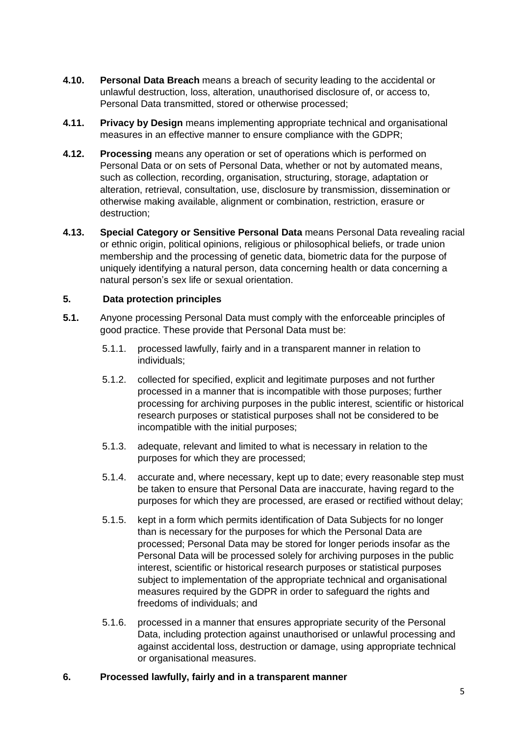- **4.10. Personal Data Breach** means a breach of security leading to the accidental or unlawful destruction, loss, alteration, unauthorised disclosure of, or access to, Personal Data transmitted, stored or otherwise processed;
- **4.11. Privacy by Design** means implementing appropriate technical and organisational measures in an effective manner to ensure compliance with the GDPR;
- **4.12. Processing** means any operation or set of operations which is performed on Personal Data or on sets of Personal Data, whether or not by automated means, such as collection, recording, organisation, structuring, storage, adaptation or alteration, retrieval, consultation, use, disclosure by transmission, dissemination or otherwise making available, alignment or combination, restriction, erasure or destruction;
- **4.13. Special Category or Sensitive Personal Data** means Personal Data revealing racial or ethnic origin, political opinions, religious or philosophical beliefs, or trade union membership and the processing of genetic data, biometric data for the purpose of uniquely identifying a natural person, data concerning health or data concerning a natural person's sex life or sexual orientation.

## **5. Data protection principles**

- **5.1.** Anyone processing Personal Data must comply with the enforceable principles of good practice. These provide that Personal Data must be:
	- 5.1.1. processed lawfully, fairly and in a transparent manner in relation to individuals;
	- 5.1.2. collected for specified, explicit and legitimate purposes and not further processed in a manner that is incompatible with those purposes; further processing for archiving purposes in the public interest, scientific or historical research purposes or statistical purposes shall not be considered to be incompatible with the initial purposes;
	- 5.1.3. adequate, relevant and limited to what is necessary in relation to the purposes for which they are processed;
	- 5.1.4. accurate and, where necessary, kept up to date; every reasonable step must be taken to ensure that Personal Data are inaccurate, having regard to the purposes for which they are processed, are erased or rectified without delay;
	- 5.1.5. kept in a form which permits identification of Data Subjects for no longer than is necessary for the purposes for which the Personal Data are processed; Personal Data may be stored for longer periods insofar as the Personal Data will be processed solely for archiving purposes in the public interest, scientific or historical research purposes or statistical purposes subject to implementation of the appropriate technical and organisational measures required by the GDPR in order to safeguard the rights and freedoms of individuals; and
	- 5.1.6. processed in a manner that ensures appropriate security of the Personal Data, including protection against unauthorised or unlawful processing and against accidental loss, destruction or damage, using appropriate technical or organisational measures.

## **6. Processed lawfully, fairly and in a transparent manner**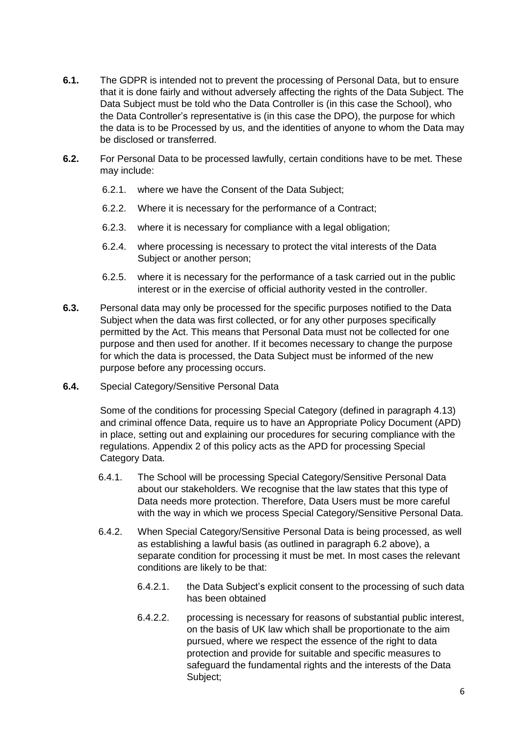- **6.1.** The GDPR is intended not to prevent the processing of Personal Data, but to ensure that it is done fairly and without adversely affecting the rights of the Data Subject. The Data Subject must be told who the Data Controller is (in this case the School), who the Data Controller's representative is (in this case the DPO), the purpose for which the data is to be Processed by us, and the identities of anyone to whom the Data may be disclosed or transferred.
- **6.2.** For Personal Data to be processed lawfully, certain conditions have to be met. These may include:
	- 6.2.1. where we have the Consent of the Data Subject;
	- 6.2.2. Where it is necessary for the performance of a Contract;
	- 6.2.3. where it is necessary for compliance with a legal obligation;
	- 6.2.4. where processing is necessary to protect the vital interests of the Data Subject or another person;
	- 6.2.5. where it is necessary for the performance of a task carried out in the public interest or in the exercise of official authority vested in the controller.
- **6.3.** Personal data may only be processed for the specific purposes notified to the Data Subject when the data was first collected, or for any other purposes specifically permitted by the Act. This means that Personal Data must not be collected for one purpose and then used for another. If it becomes necessary to change the purpose for which the data is processed, the Data Subject must be informed of the new purpose before any processing occurs.
- **6.4.** Special Category/Sensitive Personal Data

Some of the conditions for processing Special Category (defined in paragraph 4.13) and criminal offence Data, require us to have an Appropriate Policy Document (APD) in place, setting out and explaining our procedures for securing compliance with the regulations. Appendix 2 of this policy acts as the APD for processing Special Category Data.

- 6.4.1. The School will be processing Special Category/Sensitive Personal Data about our stakeholders. We recognise that the law states that this type of Data needs more protection. Therefore, Data Users must be more careful with the way in which we process Special Category/Sensitive Personal Data.
- 6.4.2. When Special Category/Sensitive Personal Data is being processed, as well as establishing a lawful basis (as outlined in paragraph 6.2 above), a separate condition for processing it must be met. In most cases the relevant conditions are likely to be that:
	- 6.4.2.1. the Data Subject's explicit consent to the processing of such data has been obtained
	- 6.4.2.2. processing is necessary for reasons of substantial public interest, on the basis of UK law which shall be proportionate to the aim pursued, where we respect the essence of the right to data protection and provide for suitable and specific measures to safeguard the fundamental rights and the interests of the Data Subject;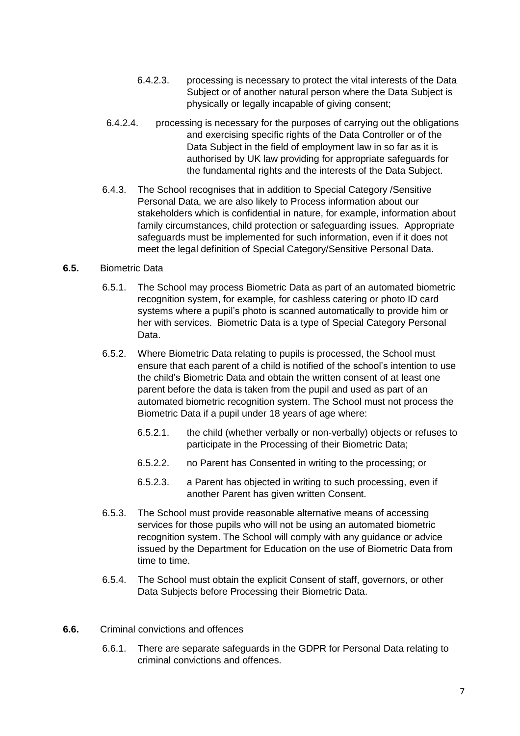- 6.4.2.3. processing is necessary to protect the vital interests of the Data Subject or of another natural person where the Data Subject is physically or legally incapable of giving consent;
- 6.4.2.4. processing is necessary for the purposes of carrying out the obligations and exercising specific rights of the Data Controller or of the Data Subject in the field of employment law in so far as it is authorised by UK law providing for appropriate safeguards for the fundamental rights and the interests of the Data Subject.
- 6.4.3. The School recognises that in addition to Special Category /Sensitive Personal Data, we are also likely to Process information about our stakeholders which is confidential in nature, for example, information about family circumstances, child protection or safeguarding issues. Appropriate safeguards must be implemented for such information, even if it does not meet the legal definition of Special Category/Sensitive Personal Data.

## **6.5.** Biometric Data

- 6.5.1. The School may process Biometric Data as part of an automated biometric recognition system, for example, for cashless catering or photo ID card systems where a pupil's photo is scanned automatically to provide him or her with services. Biometric Data is a type of Special Category Personal Data.
- 6.5.2. Where Biometric Data relating to pupils is processed, the School must ensure that each parent of a child is notified of the school's intention to use the child's Biometric Data and obtain the written consent of at least one parent before the data is taken from the pupil and used as part of an automated biometric recognition system. The School must not process the Biometric Data if a pupil under 18 years of age where:
	- 6.5.2.1. the child (whether verbally or non-verbally) objects or refuses to participate in the Processing of their Biometric Data;
	- 6.5.2.2. no Parent has Consented in writing to the processing; or
	- 6.5.2.3. a Parent has objected in writing to such processing, even if another Parent has given written Consent.
- 6.5.3. The School must provide reasonable alternative means of accessing services for those pupils who will not be using an automated biometric recognition system. The School will comply with any guidance or advice issued by the Department for Education on the use of Biometric Data from time to time.
- 6.5.4. The School must obtain the explicit Consent of staff, governors, or other Data Subjects before Processing their Biometric Data.
- **6.6.** Criminal convictions and offences
	- 6.6.1. There are separate safeguards in the GDPR for Personal Data relating to criminal convictions and offences.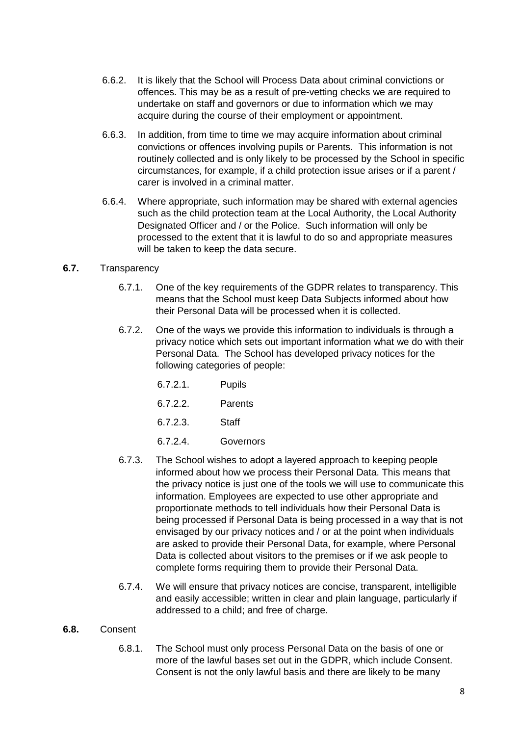- 6.6.2. It is likely that the School will Process Data about criminal convictions or offences. This may be as a result of pre-vetting checks we are required to undertake on staff and governors or due to information which we may acquire during the course of their employment or appointment.
- 6.6.3. In addition, from time to time we may acquire information about criminal convictions or offences involving pupils or Parents. This information is not routinely collected and is only likely to be processed by the School in specific circumstances, for example, if a child protection issue arises or if a parent / carer is involved in a criminal matter.
- 6.6.4. Where appropriate, such information may be shared with external agencies such as the child protection team at the Local Authority, the Local Authority Designated Officer and / or the Police. Such information will only be processed to the extent that it is lawful to do so and appropriate measures will be taken to keep the data secure.

## **6.7.** Transparency

- 6.7.1. One of the key requirements of the GDPR relates to transparency. This means that the School must keep Data Subjects informed about how their Personal Data will be processed when it is collected.
- 6.7.2. One of the ways we provide this information to individuals is through a privacy notice which sets out important information what we do with their Personal Data. The School has developed privacy notices for the following categories of people:

6.7.2.2. Parents

6.7.2.3. Staff

6.7.2.4. Governors

- 6.7.3. The School wishes to adopt a layered approach to keeping people informed about how we process their Personal Data. This means that the privacy notice is just one of the tools we will use to communicate this information. Employees are expected to use other appropriate and proportionate methods to tell individuals how their Personal Data is being processed if Personal Data is being processed in a way that is not envisaged by our privacy notices and / or at the point when individuals are asked to provide their Personal Data, for example, where Personal Data is collected about visitors to the premises or if we ask people to complete forms requiring them to provide their Personal Data.
- 6.7.4. We will ensure that privacy notices are concise, transparent, intelligible and easily accessible; written in clear and plain language, particularly if addressed to a child; and free of charge.

## **6.8.** Consent

6.8.1. The School must only process Personal Data on the basis of one or more of the lawful bases set out in the GDPR, which include Consent. Consent is not the only lawful basis and there are likely to be many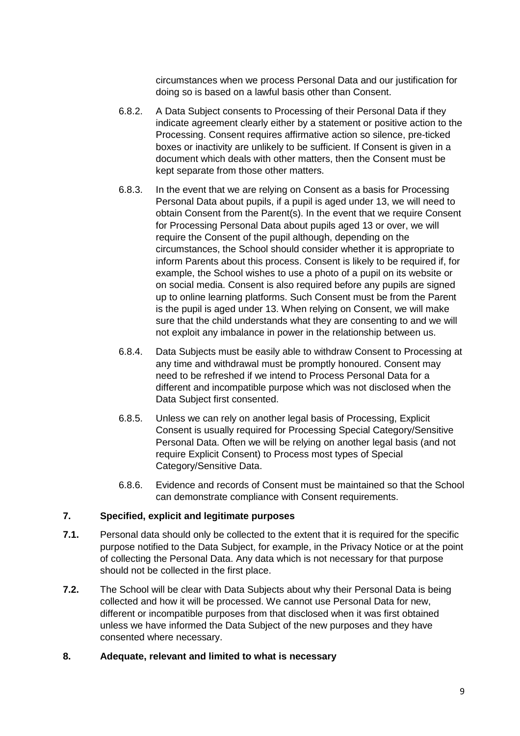circumstances when we process Personal Data and our justification for doing so is based on a lawful basis other than Consent.

- 6.8.2. A Data Subject consents to Processing of their Personal Data if they indicate agreement clearly either by a statement or positive action to the Processing. Consent requires affirmative action so silence, pre-ticked boxes or inactivity are unlikely to be sufficient. If Consent is given in a document which deals with other matters, then the Consent must be kept separate from those other matters.
- 6.8.3. In the event that we are relying on Consent as a basis for Processing Personal Data about pupils, if a pupil is aged under 13, we will need to obtain Consent from the Parent(s). In the event that we require Consent for Processing Personal Data about pupils aged 13 or over, we will require the Consent of the pupil although, depending on the circumstances, the School should consider whether it is appropriate to inform Parents about this process. Consent is likely to be required if, for example, the School wishes to use a photo of a pupil on its website or on social media. Consent is also required before any pupils are signed up to online learning platforms. Such Consent must be from the Parent is the pupil is aged under 13. When relying on Consent, we will make sure that the child understands what they are consenting to and we will not exploit any imbalance in power in the relationship between us.
- 6.8.4. Data Subjects must be easily able to withdraw Consent to Processing at any time and withdrawal must be promptly honoured. Consent may need to be refreshed if we intend to Process Personal Data for a different and incompatible purpose which was not disclosed when the Data Subject first consented.
- 6.8.5. Unless we can rely on another legal basis of Processing, Explicit Consent is usually required for Processing Special Category/Sensitive Personal Data. Often we will be relying on another legal basis (and not require Explicit Consent) to Process most types of Special Category/Sensitive Data.
- 6.8.6. Evidence and records of Consent must be maintained so that the School can demonstrate compliance with Consent requirements.

# **7. Specified, explicit and legitimate purposes**

- **7.1.** Personal data should only be collected to the extent that it is required for the specific purpose notified to the Data Subject, for example, in the Privacy Notice or at the point of collecting the Personal Data. Any data which is not necessary for that purpose should not be collected in the first place.
- **7.2.** The School will be clear with Data Subjects about why their Personal Data is being collected and how it will be processed. We cannot use Personal Data for new, different or incompatible purposes from that disclosed when it was first obtained unless we have informed the Data Subject of the new purposes and they have consented where necessary.

## **8. Adequate, relevant and limited to what is necessary**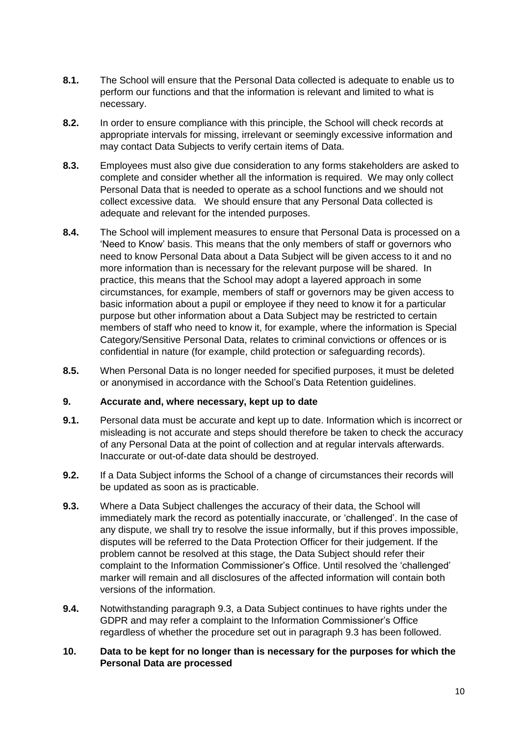- **8.1.** The School will ensure that the Personal Data collected is adequate to enable us to perform our functions and that the information is relevant and limited to what is necessary.
- **8.2.** In order to ensure compliance with this principle, the School will check records at appropriate intervals for missing, irrelevant or seemingly excessive information and may contact Data Subjects to verify certain items of Data.
- **8.3.** Employees must also give due consideration to any forms stakeholders are asked to complete and consider whether all the information is required. We may only collect Personal Data that is needed to operate as a school functions and we should not collect excessive data. We should ensure that any Personal Data collected is adequate and relevant for the intended purposes.
- **8.4.** The School will implement measures to ensure that Personal Data is processed on a 'Need to Know' basis. This means that the only members of staff or governors who need to know Personal Data about a Data Subject will be given access to it and no more information than is necessary for the relevant purpose will be shared. In practice, this means that the School may adopt a layered approach in some circumstances, for example, members of staff or governors may be given access to basic information about a pupil or employee if they need to know it for a particular purpose but other information about a Data Subject may be restricted to certain members of staff who need to know it, for example, where the information is Special Category/Sensitive Personal Data, relates to criminal convictions or offences or is confidential in nature (for example, child protection or safeguarding records).
- **8.5.** When Personal Data is no longer needed for specified purposes, it must be deleted or anonymised in accordance with the School's Data Retention guidelines.

## **9. Accurate and, where necessary, kept up to date**

- **9.1.** Personal data must be accurate and kept up to date. Information which is incorrect or misleading is not accurate and steps should therefore be taken to check the accuracy of any Personal Data at the point of collection and at regular intervals afterwards. Inaccurate or out-of-date data should be destroyed.
- **9.2.** If a Data Subject informs the School of a change of circumstances their records will be updated as soon as is practicable.
- **9.3.** Where a Data Subject challenges the accuracy of their data, the School will immediately mark the record as potentially inaccurate, or 'challenged'. In the case of any dispute, we shall try to resolve the issue informally, but if this proves impossible, disputes will be referred to the Data Protection Officer for their judgement. If the problem cannot be resolved at this stage, the Data Subject should refer their complaint to the Information Commissioner's Office. Until resolved the 'challenged' marker will remain and all disclosures of the affected information will contain both versions of the information.
- **9.4.** Notwithstanding paragraph 9.3, a Data Subject continues to have rights under the GDPR and may refer a complaint to the Information Commissioner's Office regardless of whether the procedure set out in paragraph 9.3 has been followed.

## **10. Data to be kept for no longer than is necessary for the purposes for which the Personal Data are processed**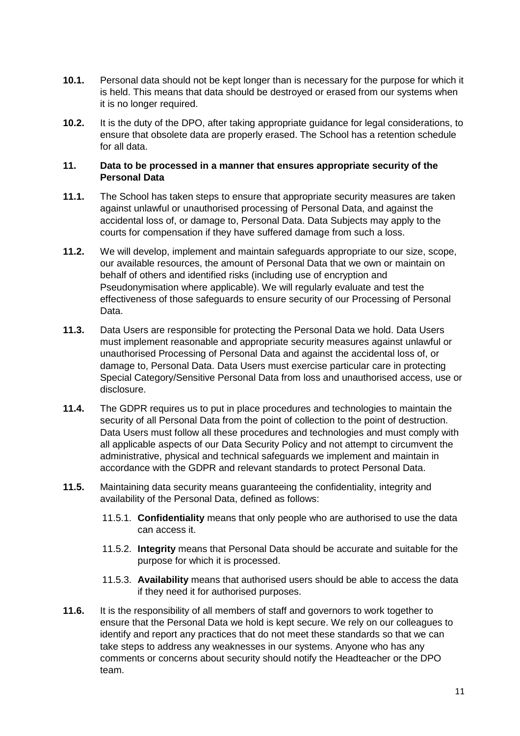- **10.1.** Personal data should not be kept longer than is necessary for the purpose for which it is held. This means that data should be destroyed or erased from our systems when it is no longer required.
- **10.2.** It is the duty of the DPO, after taking appropriate guidance for legal considerations, to ensure that obsolete data are properly erased. The School has a retention schedule for all data.

## **11. Data to be processed in a manner that ensures appropriate security of the Personal Data**

- **11.1.** The School has taken steps to ensure that appropriate security measures are taken against unlawful or unauthorised processing of Personal Data, and against the accidental loss of, or damage to, Personal Data. Data Subjects may apply to the courts for compensation if they have suffered damage from such a loss.
- **11.2.** We will develop, implement and maintain safeguards appropriate to our size, scope, our available resources, the amount of Personal Data that we own or maintain on behalf of others and identified risks (including use of encryption and Pseudonymisation where applicable). We will regularly evaluate and test the effectiveness of those safeguards to ensure security of our Processing of Personal Data.
- **11.3.** Data Users are responsible for protecting the Personal Data we hold. Data Users must implement reasonable and appropriate security measures against unlawful or unauthorised Processing of Personal Data and against the accidental loss of, or damage to, Personal Data. Data Users must exercise particular care in protecting Special Category/Sensitive Personal Data from loss and unauthorised access, use or disclosure.
- **11.4.** The GDPR requires us to put in place procedures and technologies to maintain the security of all Personal Data from the point of collection to the point of destruction. Data Users must follow all these procedures and technologies and must comply with all applicable aspects of our Data Security Policy and not attempt to circumvent the administrative, physical and technical safeguards we implement and maintain in accordance with the GDPR and relevant standards to protect Personal Data.
- **11.5.** Maintaining data security means guaranteeing the confidentiality, integrity and availability of the Personal Data, defined as follows:
	- 11.5.1. **Confidentiality** means that only people who are authorised to use the data can access it.
	- 11.5.2. **Integrity** means that Personal Data should be accurate and suitable for the purpose for which it is processed.
	- 11.5.3. **Availability** means that authorised users should be able to access the data if they need it for authorised purposes.
- **11.6.** It is the responsibility of all members of staff and governors to work together to ensure that the Personal Data we hold is kept secure. We rely on our colleagues to identify and report any practices that do not meet these standards so that we can take steps to address any weaknesses in our systems. Anyone who has any comments or concerns about security should notify the Headteacher or the DPO team.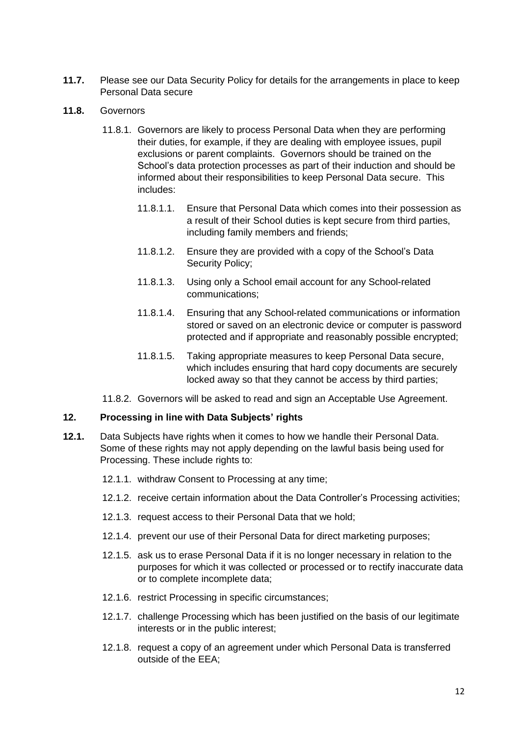- **11.7.** Please see our Data Security Policy for details for the arrangements in place to keep Personal Data secure
- **11.8.** Governors
	- 11.8.1. Governors are likely to process Personal Data when they are performing their duties, for example, if they are dealing with employee issues, pupil exclusions or parent complaints. Governors should be trained on the School's data protection processes as part of their induction and should be informed about their responsibilities to keep Personal Data secure. This includes:
		- 11.8.1.1. Ensure that Personal Data which comes into their possession as a result of their School duties is kept secure from third parties, including family members and friends;
		- 11.8.1.2. Ensure they are provided with a copy of the School's Data Security Policy;
		- 11.8.1.3. Using only a School email account for any School-related communications;
		- 11.8.1.4. Ensuring that any School-related communications or information stored or saved on an electronic device or computer is password protected and if appropriate and reasonably possible encrypted;
		- 11.8.1.5. Taking appropriate measures to keep Personal Data secure, which includes ensuring that hard copy documents are securely locked away so that they cannot be access by third parties;
	- 11.8.2. Governors will be asked to read and sign an Acceptable Use Agreement.

## **12. Processing in line with Data Subjects' rights**

- **12.1.** Data Subjects have rights when it comes to how we handle their Personal Data. Some of these rights may not apply depending on the lawful basis being used for Processing. These include rights to:
	- 12.1.1. withdraw Consent to Processing at any time;
	- 12.1.2. receive certain information about the Data Controller's Processing activities;
	- 12.1.3. request access to their Personal Data that we hold;
	- 12.1.4. prevent our use of their Personal Data for direct marketing purposes;
	- 12.1.5. ask us to erase Personal Data if it is no longer necessary in relation to the purposes for which it was collected or processed or to rectify inaccurate data or to complete incomplete data;
	- 12.1.6. restrict Processing in specific circumstances;
	- 12.1.7. challenge Processing which has been justified on the basis of our legitimate interests or in the public interest;
	- 12.1.8. request a copy of an agreement under which Personal Data is transferred outside of the EEA;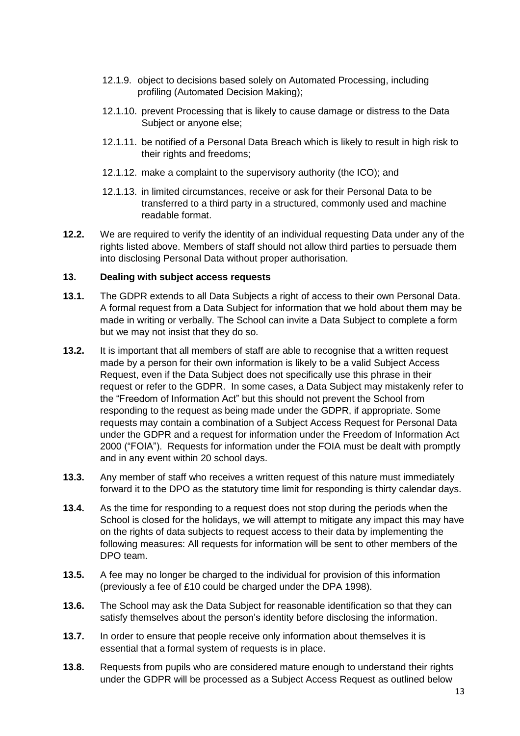- 12.1.9. object to decisions based solely on Automated Processing, including profiling (Automated Decision Making);
- 12.1.10. prevent Processing that is likely to cause damage or distress to the Data Subject or anyone else;
- 12.1.11. be notified of a Personal Data Breach which is likely to result in high risk to their rights and freedoms;
- 12.1.12. make a complaint to the supervisory authority (the ICO); and
- 12.1.13. in limited circumstances, receive or ask for their Personal Data to be transferred to a third party in a structured, commonly used and machine readable format.
- **12.2.** We are required to verify the identity of an individual requesting Data under any of the rights listed above. Members of staff should not allow third parties to persuade them into disclosing Personal Data without proper authorisation.

## **13. Dealing with subject access requests**

- **13.1.** The GDPR extends to all Data Subjects a right of access to their own Personal Data. A formal request from a Data Subject for information that we hold about them may be made in writing or verbally. The School can invite a Data Subject to complete a form but we may not insist that they do so.
- **13.2.** It is important that all members of staff are able to recognise that a written request made by a person for their own information is likely to be a valid Subject Access Request, even if the Data Subject does not specifically use this phrase in their request or refer to the GDPR. In some cases, a Data Subject may mistakenly refer to the "Freedom of Information Act" but this should not prevent the School from responding to the request as being made under the GDPR, if appropriate. Some requests may contain a combination of a Subject Access Request for Personal Data under the GDPR and a request for information under the Freedom of Information Act 2000 ("FOIA"). Requests for information under the FOIA must be dealt with promptly and in any event within 20 school days.
- **13.3.** Any member of staff who receives a written request of this nature must immediately forward it to the DPO as the statutory time limit for responding is thirty calendar days.
- **13.4.** As the time for responding to a request does not stop during the periods when the School is closed for the holidays, we will attempt to mitigate any impact this may have on the rights of data subjects to request access to their data by implementing the following measures: All requests for information will be sent to other members of the DPO team.
- **13.5.** A fee may no longer be charged to the individual for provision of this information (previously a fee of £10 could be charged under the DPA 1998).
- **13.6.** The School may ask the Data Subject for reasonable identification so that they can satisfy themselves about the person's identity before disclosing the information.
- **13.7.** In order to ensure that people receive only information about themselves it is essential that a formal system of requests is in place.
- **13.8.** Requests from pupils who are considered mature enough to understand their rights under the GDPR will be processed as a Subject Access Request as outlined below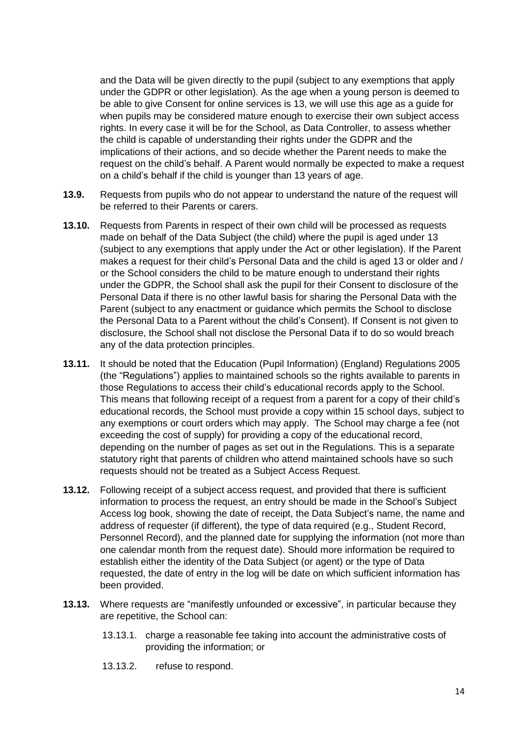and the Data will be given directly to the pupil (subject to any exemptions that apply under the GDPR or other legislation). As the age when a young person is deemed to be able to give Consent for online services is 13, we will use this age as a guide for when pupils may be considered mature enough to exercise their own subject access rights. In every case it will be for the School, as Data Controller, to assess whether the child is capable of understanding their rights under the GDPR and the implications of their actions, and so decide whether the Parent needs to make the request on the child's behalf. A Parent would normally be expected to make a request on a child's behalf if the child is younger than 13 years of age.

- **13.9.** Requests from pupils who do not appear to understand the nature of the request will be referred to their Parents or carers.
- **13.10.** Requests from Parents in respect of their own child will be processed as requests made on behalf of the Data Subject (the child) where the pupil is aged under 13 (subject to any exemptions that apply under the Act or other legislation). If the Parent makes a request for their child's Personal Data and the child is aged 13 or older and / or the School considers the child to be mature enough to understand their rights under the GDPR, the School shall ask the pupil for their Consent to disclosure of the Personal Data if there is no other lawful basis for sharing the Personal Data with the Parent (subject to any enactment or guidance which permits the School to disclose the Personal Data to a Parent without the child's Consent). If Consent is not given to disclosure, the School shall not disclose the Personal Data if to do so would breach any of the data protection principles.
- **13.11.** It should be noted that the Education (Pupil Information) (England) Regulations 2005 (the "Regulations") applies to maintained schools so the rights available to parents in those Regulations to access their child's educational records apply to the School. This means that following receipt of a request from a parent for a copy of their child's educational records, the School must provide a copy within 15 school days, subject to any exemptions or court orders which may apply. The School may charge a fee (not exceeding the cost of supply) for providing a copy of the educational record, depending on the number of pages as set out in the Regulations. This is a separate statutory right that parents of children who attend maintained schools have so such requests should not be treated as a Subject Access Request.
- **13.12.** Following receipt of a subject access request, and provided that there is sufficient information to process the request, an entry should be made in the School's Subject Access log book, showing the date of receipt, the Data Subject's name, the name and address of requester (if different), the type of data required (e.g., Student Record, Personnel Record), and the planned date for supplying the information (not more than one calendar month from the request date). Should more information be required to establish either the identity of the Data Subject (or agent) or the type of Data requested, the date of entry in the log will be date on which sufficient information has been provided.
- **13.13.** Where requests are "manifestly unfounded or excessive", in particular because they are repetitive, the School can:
	- 13.13.1. charge a reasonable fee taking into account the administrative costs of providing the information; or
	- 13.13.2. refuse to respond.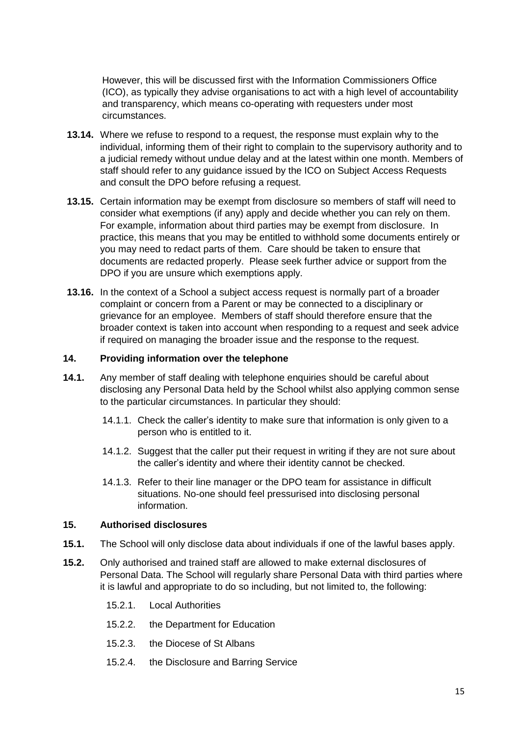However, this will be discussed first with the Information Commissioners Office (ICO), as typically they advise organisations to act with a high level of accountability and transparency, which means co-operating with requesters under most circumstances.

- **13.14.** Where we refuse to respond to a request, the response must explain why to the individual, informing them of their right to complain to the supervisory authority and to a judicial remedy without undue delay and at the latest within one month. Members of staff should refer to any guidance issued by the ICO on Subject Access Requests and consult the DPO before refusing a request.
- **13.15.** Certain information may be exempt from disclosure so members of staff will need to consider what exemptions (if any) apply and decide whether you can rely on them. For example, information about third parties may be exempt from disclosure. In practice, this means that you may be entitled to withhold some documents entirely or you may need to redact parts of them. Care should be taken to ensure that documents are redacted properly. Please seek further advice or support from the DPO if you are unsure which exemptions apply.
- **13.16.** In the context of a School a subject access request is normally part of a broader complaint or concern from a Parent or may be connected to a disciplinary or grievance for an employee. Members of staff should therefore ensure that the broader context is taken into account when responding to a request and seek advice if required on managing the broader issue and the response to the request.

## **14. Providing information over the telephone**

- **14.1.** Any member of staff dealing with telephone enquiries should be careful about disclosing any Personal Data held by the School whilst also applying common sense to the particular circumstances. In particular they should:
	- 14.1.1. Check the caller's identity to make sure that information is only given to a person who is entitled to it.
	- 14.1.2. Suggest that the caller put their request in writing if they are not sure about the caller's identity and where their identity cannot be checked.
	- 14.1.3. Refer to their line manager or the DPO team for assistance in difficult situations. No-one should feel pressurised into disclosing personal information.

## **15. Authorised disclosures**

- **15.1.** The School will only disclose data about individuals if one of the lawful bases apply.
- **15.2.** Only authorised and trained staff are allowed to make external disclosures of Personal Data. The School will regularly share Personal Data with third parties where it is lawful and appropriate to do so including, but not limited to, the following:
	- 15.2.1. Local Authorities
	- 15.2.2. the Department for Education
	- 15.2.3. the Diocese of St Albans
	- 15.2.4. the Disclosure and Barring Service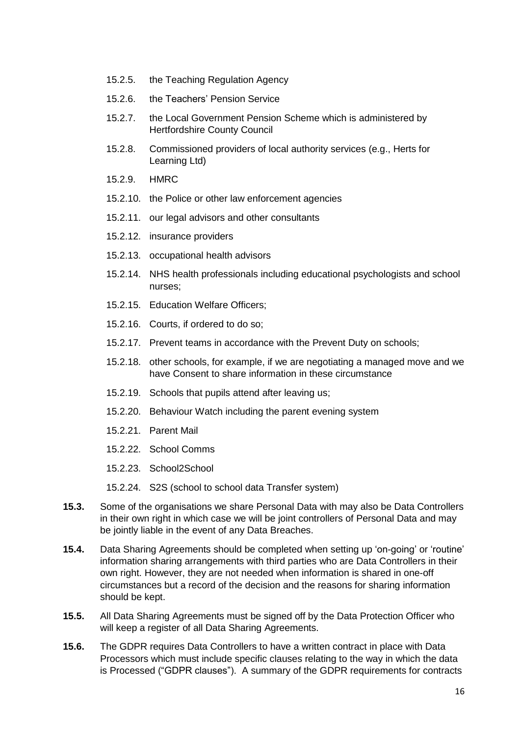- 15.2.5. the Teaching Regulation Agency
- 15.2.6. the Teachers' Pension Service
- 15.2.7. the Local Government Pension Scheme which is administered by Hertfordshire County Council
- 15.2.8. Commissioned providers of local authority services (e.g., Herts for Learning Ltd)
- 15.2.9. HMRC
- 15.2.10. the Police or other law enforcement agencies
- 15.2.11. our legal advisors and other consultants
- 15.2.12. insurance providers
- 15.2.13. occupational health advisors
- 15.2.14. NHS health professionals including educational psychologists and school nurses;
- 15.2.15. Education Welfare Officers;
- 15.2.16. Courts, if ordered to do so;
- 15.2.17. Prevent teams in accordance with the Prevent Duty on schools;
- 15.2.18. other schools, for example, if we are negotiating a managed move and we have Consent to share information in these circumstance
- 15.2.19. Schools that pupils attend after leaving us;
- 15.2.20. Behaviour Watch including the parent evening system
- 15.2.21. Parent Mail
- 15.2.22. School Comms
- 15.2.23. School2School
- 15.2.24. S2S (school to school data Transfer system)
- **15.3.** Some of the organisations we share Personal Data with may also be Data Controllers in their own right in which case we will be joint controllers of Personal Data and may be jointly liable in the event of any Data Breaches.
- **15.4.** Data Sharing Agreements should be completed when setting up 'on-going' or 'routine' information sharing arrangements with third parties who are Data Controllers in their own right. However, they are not needed when information is shared in one-off circumstances but a record of the decision and the reasons for sharing information should be kept.
- **15.5.** All Data Sharing Agreements must be signed off by the Data Protection Officer who will keep a register of all Data Sharing Agreements.
- **15.6.** The GDPR requires Data Controllers to have a written contract in place with Data Processors which must include specific clauses relating to the way in which the data is Processed ("GDPR clauses"). A summary of the GDPR requirements for contracts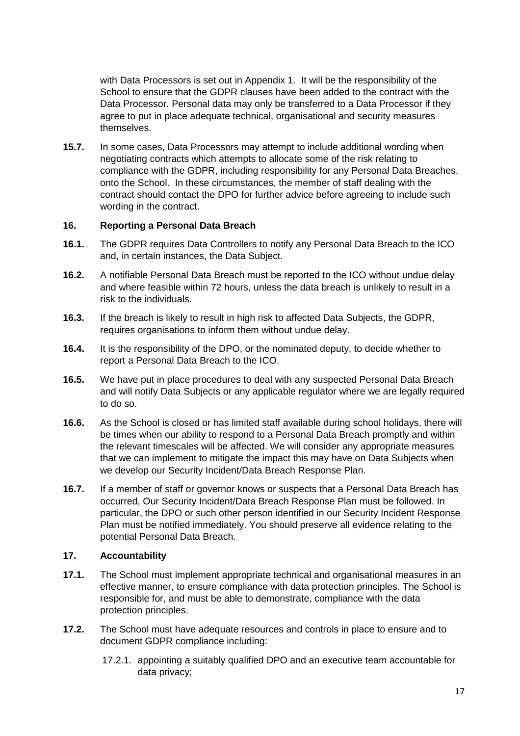with Data Processors is set out in Appendix 1. It will be the responsibility of the School to ensure that the GDPR clauses have been added to the contract with the Data Processor. Personal data may only be transferred to a Data Processor if they agree to put in place adequate technical, organisational and security measures themselves.

**15.7.** In some cases, Data Processors may attempt to include additional wording when negotiating contracts which attempts to allocate some of the risk relating to compliance with the GDPR, including responsibility for any Personal Data Breaches, onto the School. In these circumstances, the member of staff dealing with the contract should contact the DPO for further advice before agreeing to include such wording in the contract.

## **16. Reporting a Personal Data Breach**

- **16.1.** The GDPR requires Data Controllers to notify any Personal Data Breach to the ICO and, in certain instances, the Data Subject.
- **16.2.** A notifiable Personal Data Breach must be reported to the ICO without undue delay and where feasible within 72 hours, unless the data breach is unlikely to result in a risk to the individuals.
- **16.3.** If the breach is likely to result in high risk to affected Data Subjects, the GDPR, requires organisations to inform them without undue delay.
- **16.4.** It is the responsibility of the DPO, or the nominated deputy, to decide whether to report a Personal Data Breach to the ICO.
- **16.5.** We have put in place procedures to deal with any suspected Personal Data Breach and will notify Data Subjects or any applicable regulator where we are legally required to do so.
- **16.6.** As the School is closed or has limited staff available during school holidays, there will be times when our ability to respond to a Personal Data Breach promptly and within the relevant timescales will be affected. We will consider any appropriate measures that we can implement to mitigate the impact this may have on Data Subjects when we develop our Security Incident/Data Breach Response Plan.
- **16.7.** If a member of staff or governor knows or suspects that a Personal Data Breach has occurred, Our Security Incident/Data Breach Response Plan must be followed. In particular, the DPO or such other person identified in our Security Incident Response Plan must be notified immediately. You should preserve all evidence relating to the potential Personal Data Breach.

## **17. Accountability**

- **17.1.** The School must implement appropriate technical and organisational measures in an effective manner, to ensure compliance with data protection principles. The School is responsible for, and must be able to demonstrate, compliance with the data protection principles.
- **17.2.** The School must have adequate resources and controls in place to ensure and to document GDPR compliance including:
	- 17.2.1. appointing a suitably qualified DPO and an executive team accountable for data privacy;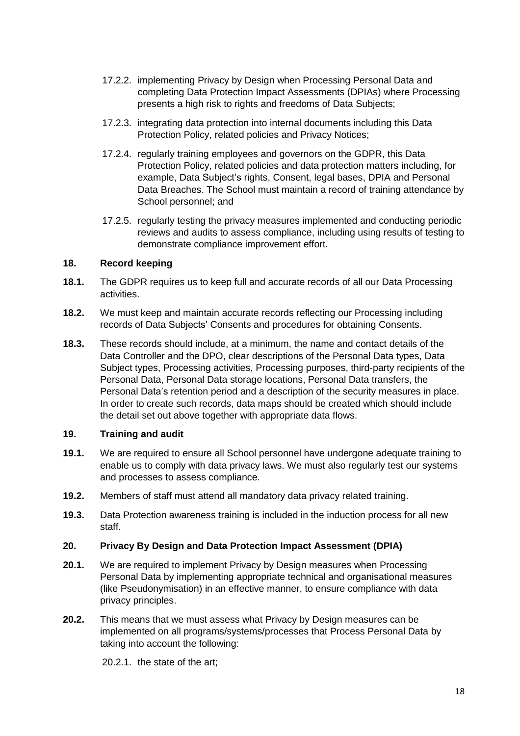- 17.2.2. implementing Privacy by Design when Processing Personal Data and completing Data Protection Impact Assessments (DPIAs) where Processing presents a high risk to rights and freedoms of Data Subjects;
- 17.2.3. integrating data protection into internal documents including this Data Protection Policy, related policies and Privacy Notices;
- 17.2.4. regularly training employees and governors on the GDPR, this Data Protection Policy, related policies and data protection matters including, for example, Data Subject's rights, Consent, legal bases, DPIA and Personal Data Breaches. The School must maintain a record of training attendance by School personnel; and
- 17.2.5. regularly testing the privacy measures implemented and conducting periodic reviews and audits to assess compliance, including using results of testing to demonstrate compliance improvement effort.

## **18. Record keeping**

- **18.1.** The GDPR requires us to keep full and accurate records of all our Data Processing activities.
- **18.2.** We must keep and maintain accurate records reflecting our Processing including records of Data Subjects' Consents and procedures for obtaining Consents.
- **18.3.** These records should include, at a minimum, the name and contact details of the Data Controller and the DPO, clear descriptions of the Personal Data types, Data Subject types, Processing activities, Processing purposes, third-party recipients of the Personal Data, Personal Data storage locations, Personal Data transfers, the Personal Data's retention period and a description of the security measures in place. In order to create such records, data maps should be created which should include the detail set out above together with appropriate data flows.

## **19. Training and audit**

- **19.1.** We are required to ensure all School personnel have undergone adequate training to enable us to comply with data privacy laws. We must also regularly test our systems and processes to assess compliance.
- **19.2.** Members of staff must attend all mandatory data privacy related training.
- **19.3.** Data Protection awareness training is included in the induction process for all new staff.

#### **20. Privacy By Design and Data Protection Impact Assessment (DPIA)**

- **20.1.** We are required to implement Privacy by Design measures when Processing Personal Data by implementing appropriate technical and organisational measures (like Pseudonymisation) in an effective manner, to ensure compliance with data privacy principles.
- **20.2.** This means that we must assess what Privacy by Design measures can be implemented on all programs/systems/processes that Process Personal Data by taking into account the following:

20.2.1. the state of the art;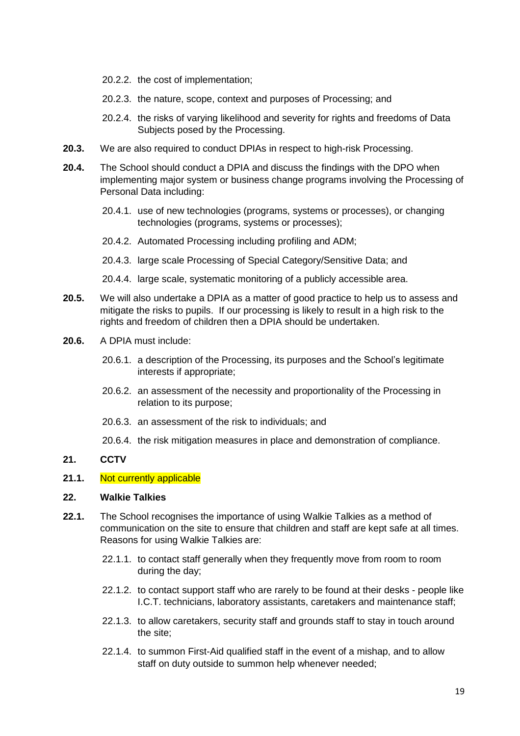- 20.2.2. the cost of implementation;
- 20.2.3. the nature, scope, context and purposes of Processing; and
- 20.2.4. the risks of varying likelihood and severity for rights and freedoms of Data Subjects posed by the Processing.
- **20.3.** We are also required to conduct DPIAs in respect to high-risk Processing.
- **20.4.** The School should conduct a DPIA and discuss the findings with the DPO when implementing major system or business change programs involving the Processing of Personal Data including:
	- 20.4.1. use of new technologies (programs, systems or processes), or changing technologies (programs, systems or processes);
	- 20.4.2. Automated Processing including profiling and ADM;
	- 20.4.3. large scale Processing of Special Category/Sensitive Data; and

20.4.4. large scale, systematic monitoring of a publicly accessible area.

- **20.5.** We will also undertake a DPIA as a matter of good practice to help us to assess and mitigate the risks to pupils. If our processing is likely to result in a high risk to the rights and freedom of children then a DPIA should be undertaken.
- **20.6.** A DPIA must include:
	- 20.6.1. a description of the Processing, its purposes and the School's legitimate interests if appropriate;
	- 20.6.2. an assessment of the necessity and proportionality of the Processing in relation to its purpose;
	- 20.6.3. an assessment of the risk to individuals; and
	- 20.6.4. the risk mitigation measures in place and demonstration of compliance.

## **21. CCTV**

#### **21.1.** Not currently applicable

#### **22. Walkie Talkies**

- **22.1.** The School recognises the importance of using Walkie Talkies as a method of communication on the site to ensure that children and staff are kept safe at all times. Reasons for using Walkie Talkies are:
	- 22.1.1. to contact staff generally when they frequently move from room to room during the day;
	- 22.1.2. to contact support staff who are rarely to be found at their desks people like I.C.T. technicians, laboratory assistants, caretakers and maintenance staff;
	- 22.1.3. to allow caretakers, security staff and grounds staff to stay in touch around the site;
	- 22.1.4. to summon First-Aid qualified staff in the event of a mishap, and to allow staff on duty outside to summon help whenever needed;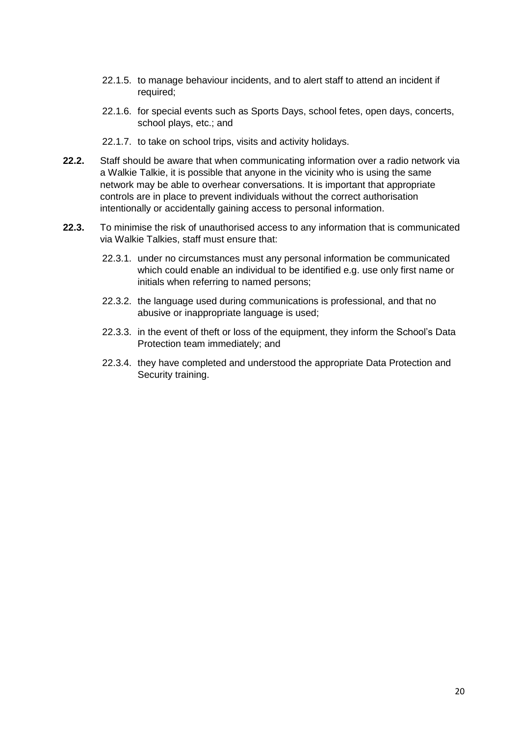- 22.1.5. to manage behaviour incidents, and to alert staff to attend an incident if required;
- 22.1.6. for special events such as Sports Days, school fetes, open days, concerts, school plays, etc.; and
- 22.1.7. to take on school trips, visits and activity holidays.
- **22.2.** Staff should be aware that when communicating information over a radio network via a Walkie Talkie, it is possible that anyone in the vicinity who is using the same network may be able to overhear conversations. It is important that appropriate controls are in place to prevent individuals without the correct authorisation intentionally or accidentally gaining access to personal information.
- **22.3.** To minimise the risk of unauthorised access to any information that is communicated via Walkie Talkies, staff must ensure that:
	- 22.3.1. under no circumstances must any personal information be communicated which could enable an individual to be identified e.g. use only first name or initials when referring to named persons;
	- 22.3.2. the language used during communications is professional, and that no abusive or inappropriate language is used;
	- 22.3.3. in the event of theft or loss of the equipment, they inform the School's Data Protection team immediately; and
	- 22.3.4. they have completed and understood the appropriate Data Protection and Security training.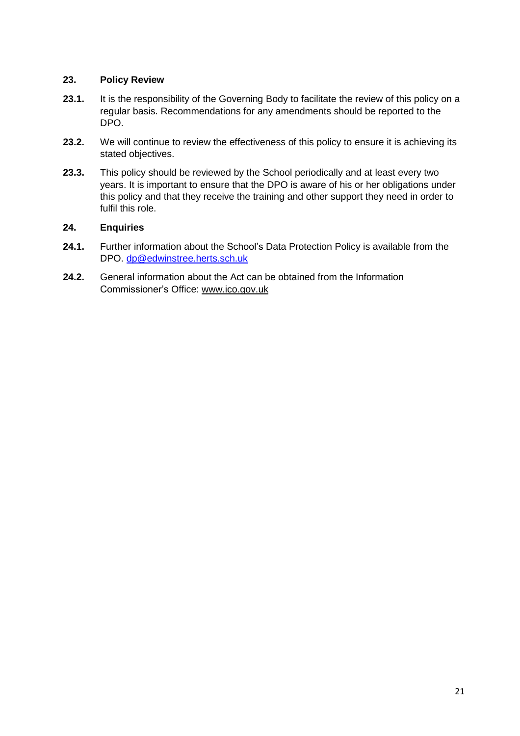# **23. Policy Review**

- 23.1. It is the responsibility of the Governing Body to facilitate the review of this policy on a regular basis. Recommendations for any amendments should be reported to the DPO.
- **23.2.** We will continue to review the effectiveness of this policy to ensure it is achieving its stated objectives.
- **23.3.** This policy should be reviewed by the School periodically and at least every two years. It is important to ensure that the DPO is aware of his or her obligations under this policy and that they receive the training and other support they need in order to fulfil this role.

## **24. Enquiries**

- **24.1.** Further information about the School's Data Protection Policy is available from the DPO. [dp@edwinstree.herts.sch.uk](mailto:dp@edwinstree.herts.sch.uk)
- **24.2.** General information about the Act can be obtained from the Information Commissioner's Office: [www.ico.gov.uk](http://www.ico.gov.uk/)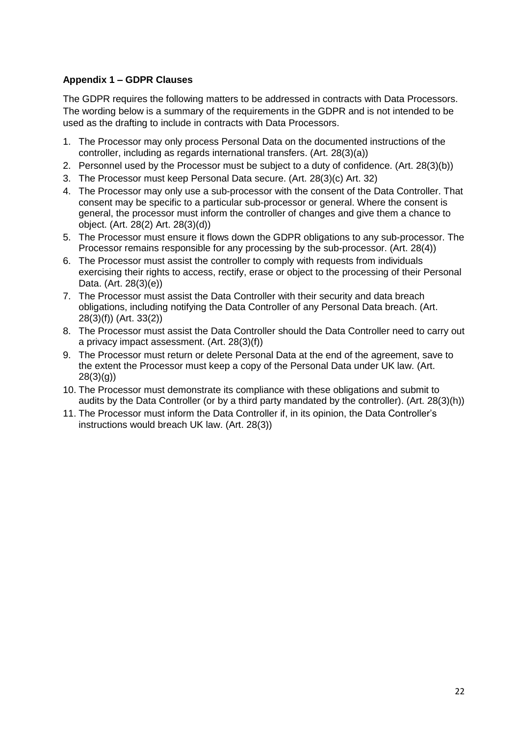# **Appendix 1 – GDPR Clauses**

The GDPR requires the following matters to be addressed in contracts with Data Processors. The wording below is a summary of the requirements in the GDPR and is not intended to be used as the drafting to include in contracts with Data Processors.

- 1. The Processor may only process Personal Data on the documented instructions of the controller, including as regards international transfers. (Art. 28(3)(a))
- 2. Personnel used by the Processor must be subject to a duty of confidence. (Art. 28(3)(b))
- 3. The Processor must keep Personal Data secure. (Art. 28(3)(c) Art. 32)
- 4. The Processor may only use a sub-processor with the consent of the Data Controller. That consent may be specific to a particular sub-processor or general. Where the consent is general, the processor must inform the controller of changes and give them a chance to object. (Art. 28(2) Art. 28(3)(d))
- 5. The Processor must ensure it flows down the GDPR obligations to any sub-processor. The Processor remains responsible for any processing by the sub-processor. (Art. 28(4))
- 6. The Processor must assist the controller to comply with requests from individuals exercising their rights to access, rectify, erase or object to the processing of their Personal Data. (Art. 28(3)(e))
- 7. The Processor must assist the Data Controller with their security and data breach obligations, including notifying the Data Controller of any Personal Data breach. (Art. 28(3)(f)) (Art. 33(2))
- 8. The Processor must assist the Data Controller should the Data Controller need to carry out a privacy impact assessment. (Art. 28(3)(f))
- 9. The Processor must return or delete Personal Data at the end of the agreement, save to the extent the Processor must keep a copy of the Personal Data under UK law. (Art. 28(3)(g))
- 10. The Processor must demonstrate its compliance with these obligations and submit to audits by the Data Controller (or by a third party mandated by the controller). (Art. 28(3)(h))
- 11. The Processor must inform the Data Controller if, in its opinion, the Data Controller's instructions would breach UK law. (Art. 28(3))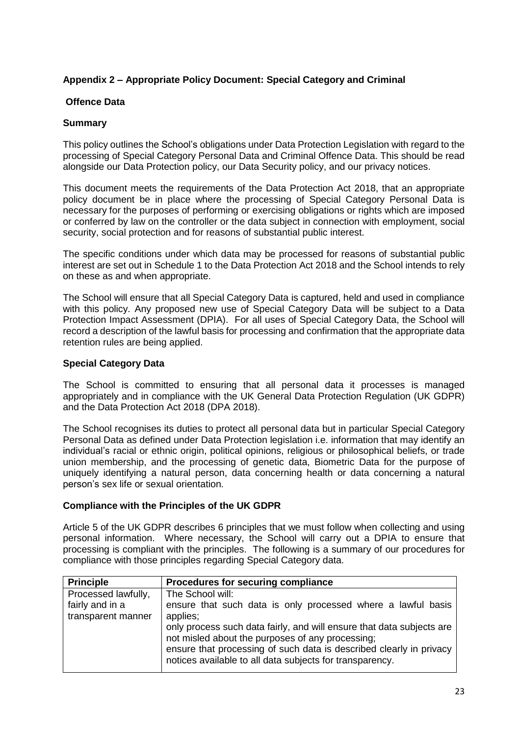# **Appendix 2 – Appropriate Policy Document: Special Category and Criminal**

## **Offence Data**

## **Summary**

This policy outlines the School's obligations under Data Protection Legislation with regard to the processing of Special Category Personal Data and Criminal Offence Data. This should be read alongside our Data Protection policy, our Data Security policy, and our privacy notices.

This document meets the requirements of the Data Protection Act 2018, that an appropriate policy document be in place where the processing of Special Category Personal Data is necessary for the purposes of performing or exercising obligations or rights which are imposed or conferred by law on the controller or the data subject in connection with employment, social security, social protection and for reasons of substantial public interest.

The specific conditions under which data may be processed for reasons of substantial public interest are set out in Schedule 1 to the Data Protection Act 2018 and the School intends to rely on these as and when appropriate.

The School will ensure that all Special Category Data is captured, held and used in compliance with this policy. Any proposed new use of Special Category Data will be subject to a Data Protection Impact Assessment (DPIA). For all uses of Special Category Data, the School will record a description of the lawful basis for processing and confirmation that the appropriate data retention rules are being applied.

## **Special Category Data**

The School is committed to ensuring that all personal data it processes is managed appropriately and in compliance with the UK General Data Protection Regulation (UK GDPR) and the Data Protection Act 2018 (DPA 2018).

The School recognises its duties to protect all personal data but in particular Special Category Personal Data as defined under Data Protection legislation i.e. information that may identify an individual's racial or ethnic origin, political opinions, religious or philosophical beliefs, or trade union membership, and the processing of genetic data, Biometric Data for the purpose of uniquely identifying a natural person, data concerning health or data concerning a natural person's sex life or sexual orientation.

## **Compliance with the Principles of the UK GDPR**

Article 5 of the UK GDPR describes 6 principles that we must follow when collecting and using personal information. Where necessary, the School will carry out a DPIA to ensure that processing is compliant with the principles. The following is a summary of our procedures for compliance with those principles regarding Special Category data.

| <b>Principle</b>                       | Procedures for securing compliance                                                                                                                                                                                                                                       |
|----------------------------------------|--------------------------------------------------------------------------------------------------------------------------------------------------------------------------------------------------------------------------------------------------------------------------|
| Processed lawfully,<br>fairly and in a | The School will:<br>ensure that such data is only processed where a lawful basis                                                                                                                                                                                         |
| transparent manner                     | applies;<br>only process such data fairly, and will ensure that data subjects are<br>not misled about the purposes of any processing;<br>ensure that processing of such data is described clearly in privacy<br>notices available to all data subjects for transparency. |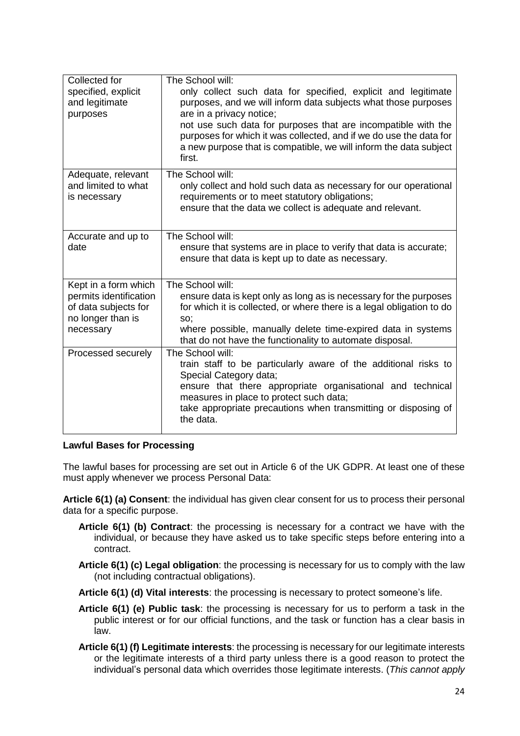| Collected for<br>specified, explicit<br>and legitimate<br>purposes                                       | The School will:<br>only collect such data for specified, explicit and legitimate<br>purposes, and we will inform data subjects what those purposes<br>are in a privacy notice;<br>not use such data for purposes that are incompatible with the<br>purposes for which it was collected, and if we do use the data for<br>a new purpose that is compatible, we will inform the data subject<br>first. |
|----------------------------------------------------------------------------------------------------------|-------------------------------------------------------------------------------------------------------------------------------------------------------------------------------------------------------------------------------------------------------------------------------------------------------------------------------------------------------------------------------------------------------|
| Adequate, relevant<br>and limited to what<br>is necessary                                                | The School will:<br>only collect and hold such data as necessary for our operational<br>requirements or to meet statutory obligations;<br>ensure that the data we collect is adequate and relevant.                                                                                                                                                                                                   |
| Accurate and up to<br>date                                                                               | The School will:<br>ensure that systems are in place to verify that data is accurate;<br>ensure that data is kept up to date as necessary.                                                                                                                                                                                                                                                            |
| Kept in a form which<br>permits identification<br>of data subjects for<br>no longer than is<br>necessary | The School will:<br>ensure data is kept only as long as is necessary for the purposes<br>for which it is collected, or where there is a legal obligation to do<br>SO;<br>where possible, manually delete time-expired data in systems<br>that do not have the functionality to automate disposal.                                                                                                     |
| Processed securely                                                                                       | The School will:<br>train staff to be particularly aware of the additional risks to<br>Special Category data;<br>ensure that there appropriate organisational and technical<br>measures in place to protect such data;<br>take appropriate precautions when transmitting or disposing of<br>the data.                                                                                                 |

## **Lawful Bases for Processing**

The lawful bases for processing are set out in Article 6 of the UK GDPR. At least one of these must apply whenever we process Personal Data:

**Article 6(1) (a) Consent**: the individual has given clear consent for us to process their personal data for a specific purpose.

- **Article 6(1) (b) Contract**: the processing is necessary for a contract we have with the individual, or because they have asked us to take specific steps before entering into a contract.
- **Article 6(1) (c) Legal obligation**: the processing is necessary for us to comply with the law (not including contractual obligations).
- **Article 6(1) (d) Vital interests**: the processing is necessary to protect someone's life.
- **Article 6(1) (e) Public task**: the processing is necessary for us to perform a task in the public interest or for our official functions, and the task or function has a clear basis in law.
- **Article 6(1) (f) Legitimate interests**: the processing is necessary for our legitimate interests or the legitimate interests of a third party unless there is a good reason to protect the individual's personal data which overrides those legitimate interests. (*This cannot apply*